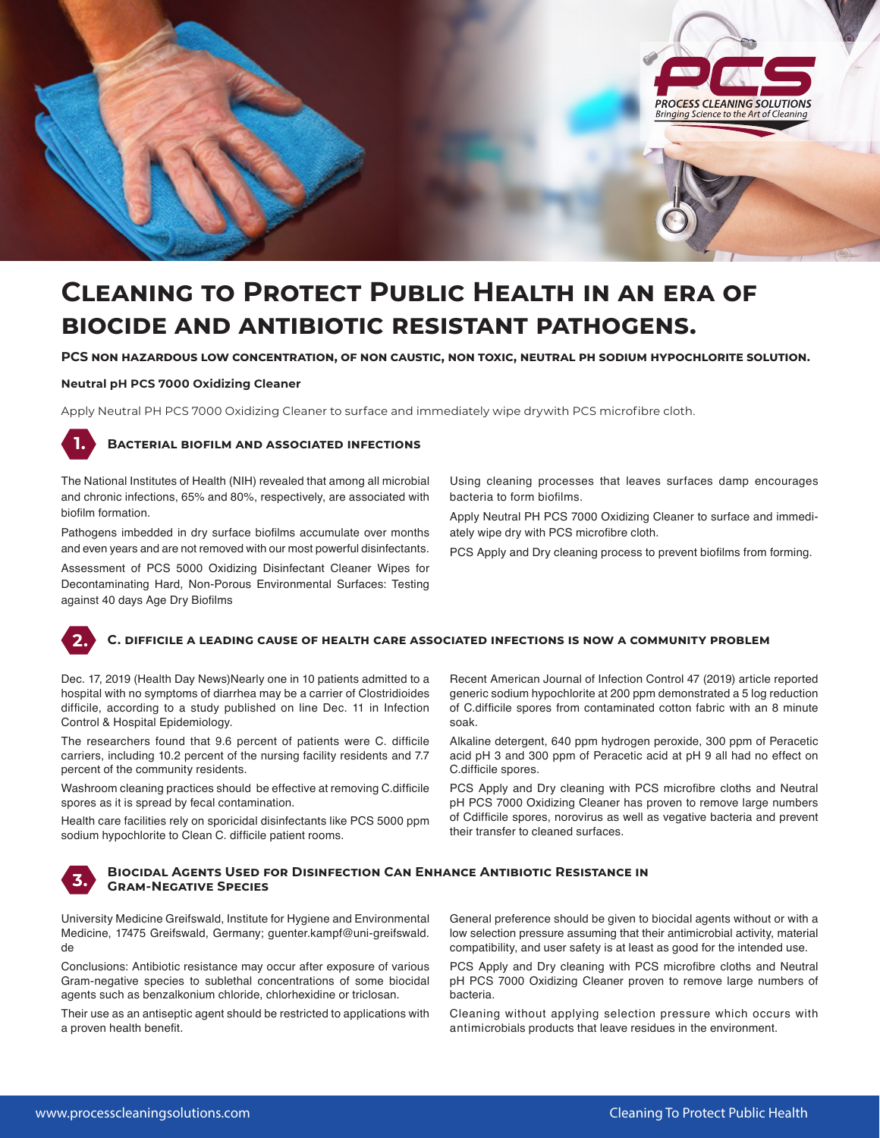

# **Cleaning to Protect Public Health in an era of biocide and antibiotic resistant pathogens.**

**PCS non hazardous low concentration, of non caustic, non toxic, neutral ph sodium hypochlorite solution.**

#### **Neutral pH PCS 7000 Oxidizing Cleaner**

Apply Neutral PH PCS 7000 Oxidizing Cleaner to surface and immediately wipe drywith PCS microfibre cloth.

#### **Bacterial biofilm and associated infections 1.**

The National Institutes of Health (NIH) revealed that among all microbial and chronic infections, 65% and 80%, respectively, are associated with biofilm formation.

Pathogens imbedded in dry surface biofilms accumulate over months and even years and are not removed with our most powerful disinfectants.

Assessment of PCS 5000 Oxidizing Disinfectant Cleaner Wipes for Decontaminating Hard, Non-Porous Environmental Surfaces: Testing against 40 days Age Dry Biofilms

Using cleaning processes that leaves surfaces damp encourages bacteria to form biofilms.

Apply Neutral PH PCS 7000 Oxidizing Cleaner to surface and immediately wipe dry with PCS microfibre cloth.

PCS Apply and Dry cleaning process to prevent biofilms from forming.

# **C. difficile a leading cause of health care associated infections is now a community problem**

Dec. 17, 2019 (Health Day News)Nearly one in 10 patients admitted to a hospital with no symptoms of diarrhea may be a carrier of Clostridioides difficile, according to a study published on line Dec. 11 in Infection Control & Hospital Epidemiology.

The researchers found that 9.6 percent of patients were C. difficile carriers, including 10.2 percent of the nursing facility residents and 7.7 percent of the community residents.

Washroom cleaning practices should be effective at removing C.difficile spores as it is spread by fecal contamination.

Health care facilities rely on sporicidal disinfectants like PCS 5000 ppm sodium hypochlorite to Clean C. difficile patient rooms.

**3.**

**2.**

# **Biocidal Agents Used for Disinfection Can Enhance Antibiotic Resistance in Gram-Negative Species**

University Medicine Greifswald, Institute for Hygiene and Environmental Medicine, 17475 Greifswald, Germany; guenter.kampf@uni-greifswald. de

Conclusions: Antibiotic resistance may occur after exposure of various Gram-negative species to sublethal concentrations of some biocidal agents such as benzalkonium chloride, chlorhexidine or triclosan.

Their use as an antiseptic agent should be restricted to applications with a proven health benefit.

Recent American Journal of Infection Control 47 (2019) article reported generic sodium hypochlorite at 200 ppm demonstrated a 5 log reduction of C.difficile spores from contaminated cotton fabric with an 8 minute soak.

Alkaline detergent, 640 ppm hydrogen peroxide, 300 ppm of Peracetic acid pH 3 and 300 ppm of Peracetic acid at pH 9 all had no effect on C.difficile spores.

PCS Apply and Dry cleaning with PCS microfibre cloths and Neutral pH PCS 7000 Oxidizing Cleaner has proven to remove large numbers of Cdifficile spores, norovirus as well as vegative bacteria and prevent their transfer to cleaned surfaces.

General preference should be given to biocidal agents without or with a low selection pressure assuming that their antimicrobial activity, material compatibility, and user safety is at least as good for the intended use.

PCS Apply and Dry cleaning with PCS microfibre cloths and Neutral pH PCS 7000 Oxidizing Cleaner proven to remove large numbers of bacteria.

Cleaning without applying selection pressure which occurs with antimicrobials products that leave residues in the environment.